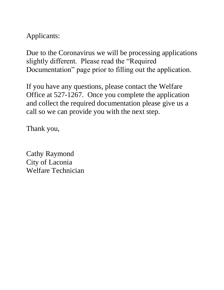Applicants:

Due to the Coronavirus we will be processing applications slightly different. Please read the "Required Documentation" page prior to filling out the application.

If you have any questions, please contact the Welfare Office at 527-1267. Once you complete the application and collect the required documentation please give us a call so we can provide you with the next step.

Thank you,

Cathy Raymond City of Laconia Welfare Technician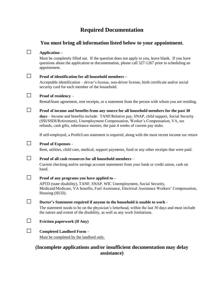## **Required Documentation**

## **You must bring all information listed below to your appointment.**

#### □ **Application –**

Must be completely filled out. If the question does not apply to you, leave blank. If you have questions about the application or documentation, please call 527-1267 prior to scheduling an appointment.

## □ **Proof of identification for all household members –**

Acceptable identification – driver's license, non-driver license, birth certificate and/or social security card for each member of the household.

#### □ **Proof of residency** –

Rental/lease agreement, rent receipts, or a statement from the person with whom you are residing.

### □ **Proof of income and benefits from any source for all household members for the past 30**

**days** – Income and benefits include: TANF/Relative pay, SNAP, child support, Social Security (SSI/SSDI/Retirement), Unemployment Compensation, Worker's Compensation, VA, tax refunds, cash gifts, inheritance monies, the past 4 weeks of current pay stubs.

If self-employed, a Profit/Loss statement is required, along with the most recent income tax return

#### □ **Proof of Expenses** –

Rent, utilities, child care, medical, support payments, food or any other receipts that were paid.

□ **Proof of all cash resources for all household members** –

Current checking and/or savings account statements from your bank or credit union, cash on hand.

#### □ **Proof of any programs you have applied to –**

APTD (state disability), TANF, SNAP, WIC Unemployment, Social Security, Medicaid/Medicare, VA benefits, Fuel Assistance, Electrical Assistance Workers' Compensation, Housing (HUD).

#### □ **Doctor's Statement required if anyone in the household is unable to work -**

The statement needs to be on the physician's letterhead, within the last 30 days and must include the nature and extent of the disability, as well as any work limitations.

#### □ **Eviction paperwork (If Any)**

#### □ **Completed Landlord Form –**

Must be completed by the landlord only.

## **(Incomplete applications and/or insufficient documentation may delay assistance)**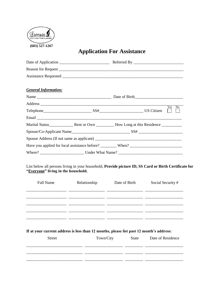

# **Application For Assistance**

| <b>General Information:</b>         |                                                                                                                                                                                                                   |               |                                                                                                                            |
|-------------------------------------|-------------------------------------------------------------------------------------------------------------------------------------------------------------------------------------------------------------------|---------------|----------------------------------------------------------------------------------------------------------------------------|
|                                     |                                                                                                                                                                                                                   |               |                                                                                                                            |
|                                     |                                                                                                                                                                                                                   |               | Yes<br>No.                                                                                                                 |
|                                     |                                                                                                                                                                                                                   |               |                                                                                                                            |
|                                     |                                                                                                                                                                                                                   |               |                                                                                                                            |
|                                     |                                                                                                                                                                                                                   |               |                                                                                                                            |
|                                     |                                                                                                                                                                                                                   |               |                                                                                                                            |
|                                     |                                                                                                                                                                                                                   |               |                                                                                                                            |
|                                     | Have you applied for local assistance before? _________ When? ___________________                                                                                                                                 |               |                                                                                                                            |
|                                     |                                                                                                                                                                                                                   |               |                                                                                                                            |
|                                     |                                                                                                                                                                                                                   |               |                                                                                                                            |
| <b>Full Name</b>                    | Relationship                                                                                                                                                                                                      | Date of Birth | List below all persons living in your household, Provide picture ID, SS Card or Birth Certificate for<br>Social Security # |
| "Everyone" living in the household. |                                                                                                                                                                                                                   |               |                                                                                                                            |
|                                     | <u> 1990 - Johann Johann Harry Harry Harry Harry Harry Harry Harry Harry Harry Harry Harry Harry Harry Harry Harry</u><br>If at your current address is less than 12 months, please list past 12 month's address: |               |                                                                                                                            |

\_\_\_\_\_\_\_\_\_\_\_\_\_\_\_\_\_\_\_\_\_\_\_\_\_\_\_\_ \_\_\_\_\_\_\_\_\_\_\_\_\_\_\_\_\_\_\_ \_\_\_\_\_\_\_\_\_ \_\_\_\_\_\_\_\_\_\_\_\_\_\_\_\_\_\_\_ \_\_\_\_\_\_\_\_\_\_\_\_\_\_\_\_\_\_\_\_\_\_\_\_\_\_\_\_ \_\_\_\_\_\_\_\_\_\_\_\_\_\_\_\_\_\_\_ \_\_\_\_\_\_\_\_\_ \_\_\_\_\_\_\_\_\_\_\_\_\_\_\_\_\_\_\_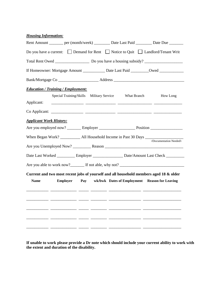| <b>Housing Information:</b>    |                                           |                         |                    |                                                                                                      |
|--------------------------------|-------------------------------------------|-------------------------|--------------------|------------------------------------------------------------------------------------------------------|
|                                |                                           |                         |                    | Rent Amount ________ per (month/week) __________ Date Last Paid _________ Date Due ________          |
|                                |                                           |                         |                    | Do you have a current: $\Box$ Demand for Rent $\Box$ Notice to Quit $\Box$ Landlord/Tenant Writ      |
|                                |                                           |                         |                    |                                                                                                      |
|                                |                                           |                         |                    | If Homeowner: Mortgage Amount __________ Date Last Paid ________Owed ___________                     |
|                                |                                           |                         |                    |                                                                                                      |
|                                | <b>Education / Training / Employment:</b> |                         |                    |                                                                                                      |
|                                | Special Training/Skills                   | <b>Military Service</b> | <b>What Branch</b> | How Long                                                                                             |
| Applicant:                     |                                           |                         |                    |                                                                                                      |
|                                |                                           |                         |                    |                                                                                                      |
| <b>Applicant Work History:</b> |                                           |                         |                    |                                                                                                      |
|                                |                                           |                         |                    | Are you employed now? _________ Employer _________________________ Position ________________________ |
|                                |                                           |                         |                    |                                                                                                      |
|                                |                                           |                         |                    | (Documentation Needed)                                                                               |
|                                |                                           |                         |                    | Date Last Worked ___________ Employer ___________________ Date/Amount Last Check ___________         |
|                                |                                           |                         |                    |                                                                                                      |
|                                |                                           |                         |                    | Current and two most recent jobs of yourself and all household members aged 18 & older               |
| <b>Name</b>                    |                                           |                         |                    | Employer Pay wk/bwk Dates of Employment Reason for Leaving                                           |
|                                |                                           |                         |                    |                                                                                                      |
|                                |                                           |                         |                    |                                                                                                      |
|                                |                                           |                         |                    |                                                                                                      |
|                                |                                           |                         |                    |                                                                                                      |
|                                |                                           |                         |                    |                                                                                                      |
|                                |                                           |                         |                    |                                                                                                      |
|                                |                                           |                         |                    |                                                                                                      |

**If unable to work please provide a Dr note which should include your current ability to work with the extent and duration of the disability.**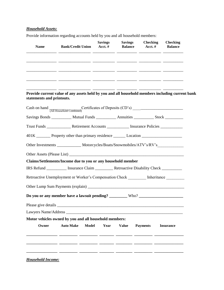### *Household Assets:*

Provide information regarding accounts held by you and all household members:

| <b>Name</b>               | <b>Bank/Credit Union</b>                                                                             | <b>Savings</b><br>Acct. $#$ | <b>Savings</b> | <b>Checking</b><br><b>Balance</b> Acct. # | <b>Checking</b><br><b>Balance</b> |
|---------------------------|------------------------------------------------------------------------------------------------------|-----------------------------|----------------|-------------------------------------------|-----------------------------------|
|                           |                                                                                                      |                             |                |                                           |                                   |
|                           |                                                                                                      |                             |                |                                           |                                   |
|                           |                                                                                                      |                             |                |                                           |                                   |
|                           |                                                                                                      |                             |                |                                           |                                   |
| statements and printouts. | Provide current value of any assets held by you and all household members including current bank     |                             |                |                                           |                                   |
|                           |                                                                                                      |                             |                |                                           |                                   |
|                           | Savings Bonds ___________ Mutual Funds ___________ Annuities __________ Stock _________              |                             |                |                                           |                                   |
|                           |                                                                                                      |                             |                |                                           |                                   |
|                           | 401K _________ Property other than primary residence _________ Location ____________________________ |                             |                |                                           |                                   |
|                           | Other Investments _______________ Motorcycles/Boats/Snowmobiles/ATV's/RV's_____________              |                             |                |                                           |                                   |
|                           |                                                                                                      |                             |                |                                           |                                   |
|                           | Claims/Settlements/Income due to you or any household member                                         |                             |                |                                           |                                   |
|                           | IRS Refund ___________ Insurance Claim ___________ Retroactive Disability Check __________           |                             |                |                                           |                                   |
|                           | Retroactive Unemployment or Worker's Compensation Check _________ Inheritance ________               |                             |                |                                           |                                   |
|                           |                                                                                                      |                             |                |                                           |                                   |
|                           | Do you or any member have a lawsuit pending? _________ Who? _____________________                    |                             |                |                                           |                                   |
|                           |                                                                                                      |                             |                |                                           |                                   |
|                           |                                                                                                      |                             |                |                                           |                                   |
|                           | Motor vehicles owned by you and all household members:                                               |                             |                |                                           |                                   |
| Owner                     | <b>Model</b><br><b>Auto Make</b>                                                                     | Year                        | <b>Value</b>   | <b>Payments</b>                           | <b>Insurance</b>                  |
|                           |                                                                                                      |                             |                |                                           |                                   |
|                           |                                                                                                      |                             |                |                                           |                                   |
|                           |                                                                                                      |                             |                |                                           |                                   |
|                           |                                                                                                      |                             |                |                                           |                                   |

*Household Income:*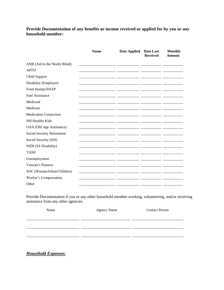Provide Documentation of any benefits or income received or applied for by you or any household member:

|                              | <b>Name</b> | <b>Date Applied</b> | Date Last<br><b>Received</b> | <b>Monthly</b><br><b>Amount</b> |
|------------------------------|-------------|---------------------|------------------------------|---------------------------------|
| ANB (Aid to the Needy Blind) |             |                     |                              |                                 |
| <b>APTD</b>                  |             |                     |                              |                                 |
| Child Support                |             |                     |                              |                                 |
| Disability (Employer)        |             |                     |                              |                                 |
| Food Stamps/SNAP             |             |                     |                              |                                 |
| <b>Fuel Assistance</b>       |             |                     |                              |                                 |
| Medicaid                     |             |                     |                              |                                 |
| Medicare                     |             |                     |                              |                                 |
| <b>Medication Connection</b> |             |                     |                              |                                 |
| NH Healthy Kids              |             |                     |                              |                                 |
| OAA (Old Age Assistance)     |             |                     |                              |                                 |
| Social Security Retirement   |             |                     |                              |                                 |
| Social Security (SSI)        |             |                     |                              |                                 |
| SSDI (SS Disability)         |             |                     |                              |                                 |
| <b>TANF</b>                  |             |                     |                              |                                 |
| Unemployment                 |             |                     |                              |                                 |
| Veteran's Pension            |             |                     |                              |                                 |
| WIC (Woman/Infant/Children)  |             |                     |                              |                                 |
| Worker's Compensation        |             |                     |                              |                                 |
| Other                        |             |                     |                              |                                 |

Provide Documentation if you or any other household member working, volunteering, and/or receiving  $\frac{1}{2}$  assistance from any other agencies.

| Name | <b>Agency Name</b> | <b>Contact Person</b> |
|------|--------------------|-----------------------|
|      |                    |                       |
|      |                    |                       |
|      |                    |                       |
|      |                    |                       |

**Household Expenses:**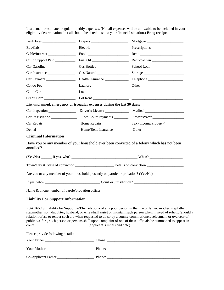List actual or estimated regular monthly expenses. (Not all expenses will be allowable to be included in your eligibility determination, but all should be listed to show your financial situation.) Bring receipts.

|                                                                          | Diapers and the property of the state of the state of the state of the state of the state of the state of the state of the state of the state of the state of the state of the state of the state of the state of the state of |                                                                                                                                                                                                                                                                                                                                                                                                                                                                       |
|--------------------------------------------------------------------------|--------------------------------------------------------------------------------------------------------------------------------------------------------------------------------------------------------------------------------|-----------------------------------------------------------------------------------------------------------------------------------------------------------------------------------------------------------------------------------------------------------------------------------------------------------------------------------------------------------------------------------------------------------------------------------------------------------------------|
|                                                                          |                                                                                                                                                                                                                                |                                                                                                                                                                                                                                                                                                                                                                                                                                                                       |
| Cable/Internet _________________                                         | $\boxed{\text{Food}}\ \_\_\_$                                                                                                                                                                                                  |                                                                                                                                                                                                                                                                                                                                                                                                                                                                       |
| Child Support Paid                                                       |                                                                                                                                                                                                                                | Rent-to-Own                                                                                                                                                                                                                                                                                                                                                                                                                                                           |
| Car Gasoline                                                             |                                                                                                                                                                                                                                | School Loan                                                                                                                                                                                                                                                                                                                                                                                                                                                           |
|                                                                          |                                                                                                                                                                                                                                |                                                                                                                                                                                                                                                                                                                                                                                                                                                                       |
|                                                                          | Health Insurance                                                                                                                                                                                                               |                                                                                                                                                                                                                                                                                                                                                                                                                                                                       |
|                                                                          |                                                                                                                                                                                                                                |                                                                                                                                                                                                                                                                                                                                                                                                                                                                       |
|                                                                          |                                                                                                                                                                                                                                |                                                                                                                                                                                                                                                                                                                                                                                                                                                                       |
|                                                                          |                                                                                                                                                                                                                                |                                                                                                                                                                                                                                                                                                                                                                                                                                                                       |
| List unplanned, emergency or irregular expenses during the last 30 days: |                                                                                                                                                                                                                                |                                                                                                                                                                                                                                                                                                                                                                                                                                                                       |
| Car Inspection                                                           | Driver's License                                                                                                                                                                                                               |                                                                                                                                                                                                                                                                                                                                                                                                                                                                       |
| Car Registration ______________                                          | Fines/Court Payments _________                                                                                                                                                                                                 | Sewer/Water                                                                                                                                                                                                                                                                                                                                                                                                                                                           |
|                                                                          |                                                                                                                                                                                                                                |                                                                                                                                                                                                                                                                                                                                                                                                                                                                       |
|                                                                          |                                                                                                                                                                                                                                |                                                                                                                                                                                                                                                                                                                                                                                                                                                                       |
| <b>Criminal Information</b>                                              |                                                                                                                                                                                                                                |                                                                                                                                                                                                                                                                                                                                                                                                                                                                       |
| annulled?                                                                |                                                                                                                                                                                                                                | Have you or any member of your household ever been convicted of a felony which has not been                                                                                                                                                                                                                                                                                                                                                                           |
|                                                                          |                                                                                                                                                                                                                                | $(Yes/No)$ If yes, who?                                                                                                                                                                                                                                                                                                                                                                                                                                               |
|                                                                          |                                                                                                                                                                                                                                | Town/City & State of conviction Details on conviction                                                                                                                                                                                                                                                                                                                                                                                                                 |
|                                                                          |                                                                                                                                                                                                                                | Are you or any member of your household presently on parole or probation? (Yes/No) ________________                                                                                                                                                                                                                                                                                                                                                                   |
|                                                                          |                                                                                                                                                                                                                                |                                                                                                                                                                                                                                                                                                                                                                                                                                                                       |
|                                                                          |                                                                                                                                                                                                                                |                                                                                                                                                                                                                                                                                                                                                                                                                                                                       |
| <b>Liability For Support Information</b>                                 |                                                                                                                                                                                                                                |                                                                                                                                                                                                                                                                                                                                                                                                                                                                       |
|                                                                          |                                                                                                                                                                                                                                | RSA 165:19 Liability for Support – The relations of any poor person in the line of father, mother, stepfather,<br>stepmother, son, daughter, husband, or wife shall assist or maintain such person when in need of reliefShould a<br>relation refuse to render such aid when requested to do so by a county commissioner, selectman, or overseer of<br>public welfare, such person or persons shall upon complaint of one of these officials be summoned to appear in |

Please provide following details:

court. \_\_\_\_\_\_\_\_\_\_\_\_\_\_\_\_\_\_\_\_\_\_\_\_\_\_\_ (applicant's intials and date)

| Your Father         | Phone: |
|---------------------|--------|
|                     |        |
| Your Mother         | Phone: |
| Co-Applicant Father | Phone: |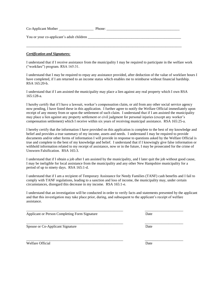| Co-Applicant Mother                       | Phone: |
|-------------------------------------------|--------|
| You or your co-applicant's adult children |        |
|                                           |        |

#### *Certification and Signatures:*

I understand that if I receive assistance from the municipality I may be required to participate in the welfare work ("workfare") program. RSA 165:31.

I understand that I may be required to repay any assistance provided, after deduction of the value of workfare hours I have completed, if I am returned to an income status which enables me to reimburse without financial hardship. RSA 165:20-b.

I understand that if I am assisted the municipality may place a lien against any real property which I own RSA 165:128-a.

I hereby certify that if I have a lawsuit, worker's compensation claim, or aid from any other social service agency now pending, I have listed these in this application. I further agree to notify the Welfare Official immediately upon receipt of any money from or upon the settlement of such claim. I understand that if I am assisted the municipality may place a lien against any property settlement or civil judgment for personal injuries (except any worker's compensation settlement) which I receive within six years of receiving municipal assistance. RSA 165:25-a.

I hereby certify that the information I have provided on this application is complete to the best of my knowledge and belief and provides a true summary of my income, assets and needs. I understand I may be required to provide documents and/or other forms of information I will provide in response to questions asked by the Welfare Official is true and complete to the best of my knowledge and belief. I understand that if I knowingly give false information or withhold information related to my receipt of assistance, now or in the future, I may be prosecuted for the crime of Unsworn Falsification. RSA 165:3.

I understand that if I obtain a job after I am assisted by the municipality, and I later quit the job without good cause, I may be ineligible for local assistance from the municipality and any other New Hampshire municipality for a period of up to ninety days. RSA 165:1-d.

I understand that if I am a recipient of Temporary Assistance for Needy Families (TANF) cash benefits and I fail to comply with TANF regulations, leading to a sanction and loss of income, the municipality may, under certain circumstances, disregard this decrease in my income. RSA 165:1-e.

I understand that an investigation will be conducted in order to verify facts and statements presented by the applicant and that this investigation may take place prior, during, and subsequent to the applicant's receipt of welfare assistance.

\_\_\_\_\_\_\_\_\_\_\_\_\_\_\_\_\_\_\_\_\_\_\_\_\_\_\_\_\_\_\_\_\_\_\_\_\_\_\_\_\_\_\_\_\_\_\_\_\_\_\_\_\_ \_\_\_\_\_\_\_\_\_\_\_\_\_\_\_\_\_\_\_\_\_

Applicant or Person Completing Form Signature Date

Spouse or Co-Applicant Signature Date

Welfare Official Date **Date** Date **Date** Date **Date** 



\_\_\_\_\_\_\_\_\_\_\_\_\_\_\_\_\_\_\_\_\_\_\_\_\_\_\_\_\_\_\_\_\_\_\_\_\_\_\_\_\_\_\_\_\_\_\_\_\_\_\_\_\_ \_\_\_\_\_\_\_\_\_\_\_\_\_\_\_\_\_\_\_\_\_

\_\_\_\_\_\_\_\_\_\_\_\_\_\_\_\_\_\_\_\_\_\_\_\_\_\_\_\_\_\_\_\_\_\_\_\_\_\_\_\_\_\_\_\_\_\_\_\_\_\_\_\_\_ \_\_\_\_\_\_\_\_\_\_\_\_\_\_\_\_\_\_\_\_\_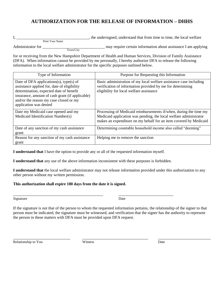## **AUTHORIZATION FOR THE RELEASE OF INFORMATION – DHHS**

|                   |                 |           | the undersigned, understand that from time to time, the local welfare |  |  |  |
|-------------------|-----------------|-----------|-----------------------------------------------------------------------|--|--|--|
|                   | Print Your Name |           |                                                                       |  |  |  |
| Administrator for |                 |           | may require certain information about assistance I am applying        |  |  |  |
|                   |                 | Town/City |                                                                       |  |  |  |

for or receiving from the New Hampshire Department of Health and Human Services, Division of Family Assistance (DFA). When information cannot be provided by me personally, I hereby authorize DFA to release the following information to the local welfare administrator for the specific purposes outlined below.

| Type of Information                                                                                                                                                                                                                                      | Purpose for Requesting this Information                                                                                                                                                                     |
|----------------------------------------------------------------------------------------------------------------------------------------------------------------------------------------------------------------------------------------------------------|-------------------------------------------------------------------------------------------------------------------------------------------------------------------------------------------------------------|
| Date of DFA applications(s), type(s) of<br>assistance applied for, date of eligibility<br>determination, expected date of benefit<br>insurance, amount of cash grant (if applicable)<br>and/or the reason my case closed or my<br>application was denied | Basic administration of my local welfare assistance case including<br>verification of information provided by me for determining<br>eligibility for local welfare assistance                                |
| Date my Medicaid case opened and my<br>Medicaid Identification Number(s)                                                                                                                                                                                 | Processing of Medicaid reimbursements if/when, during the time my<br>Medicaid application was pending, the local welfare administrator<br>makes an expenditure on my behalf for an item covered by Medicaid |
| Date of any sanction of my cash assistance<br>grant                                                                                                                                                                                                      | Determining countable household income also called "deeming"                                                                                                                                                |
| Reason for any sanction of my cash assistance<br>grant                                                                                                                                                                                                   | Helping me to remove the sanction                                                                                                                                                                           |

**I understand that** I have the option to provide any or all of the requested information myself.

**I understand that** any use of the above information inconsistent with these purposes is forbidden.

\_\_\_\_\_\_\_\_\_\_\_\_\_\_\_\_\_\_\_\_\_\_\_\_\_\_\_\_\_\_\_\_\_\_\_\_\_\_\_\_\_ \_\_\_\_\_\_\_\_\_\_\_\_\_\_\_\_\_\_\_\_\_\_\_\_\_

**I understand that** the local welfare administrator may not release information provided under this authorization to any other person without my written permission.

#### **This authorization shall expire 180 days from the date it is signed.**

Signature Date

If the signature is not that of the person to whom the requested information pertains, the relationship of the signer to that person must be indicated, the signature must be witnessed, and verification that the signer has the authority to represent the person in these matters with DFA must be provided upon DFA request.

\_\_\_\_\_\_\_\_\_\_\_\_\_\_\_\_\_\_\_\_\_\_\_\_\_\_ \_\_\_\_\_\_\_\_\_\_\_\_\_\_\_\_\_\_\_\_\_\_\_\_\_\_\_\_\_\_ \_\_\_\_\_\_\_\_\_\_\_\_\_\_\_\_\_\_\_\_\_\_\_\_

Relationship to You **Witness** Date **Development COVID-**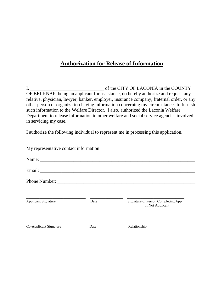## **Authorization for Release of Information**

I, \_\_\_\_\_\_\_\_\_\_\_\_\_\_\_\_\_\_\_\_\_\_\_\_\_\_\_\_\_\_\_ of the CITY OF LACONIA in the COUNTY OF BELKNAP, being an applicant for assistance, do hereby authorize and request any relative, physician, lawyer, banker, employer, insurance company, fraternal order, or any other person or organization having information concerning my circumstances to furnish such information to the Welfare Director. I also, authorized the Laconia Welfare Department to release information to other welfare and social service agencies involved in servicing my case.

I authorize the following individual to represent me in processing this application.

| My representative contact information |      |                                                        |  |  |  |
|---------------------------------------|------|--------------------------------------------------------|--|--|--|
|                                       |      |                                                        |  |  |  |
|                                       |      |                                                        |  |  |  |
|                                       |      |                                                        |  |  |  |
| <b>Applicant Signature</b>            | Date | Signature of Person Completing App<br>If Not Applicant |  |  |  |
| Co-Applicant Signature                | Date | Relationship                                           |  |  |  |